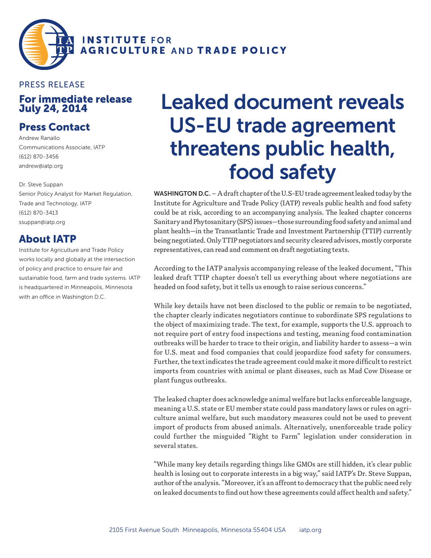

## For immediate release July 24, 2014 PRESS RELEASE

## Press Contact

Andrew Ranallo Communications Associate, IATP (612) 870-3456 andrew@iatp.org

Dr. Steve Suppan Senior Policy Analyst for Market Regulation, Trade and Technology, IATP (612) 870-3413 ssuppan@iatp.org

## About IATP

Institute for Agriculture and Trade Policy works locally and globally at the intersection of policy and practice to ensure fair and sustainable food, farm and trade systems. IATP is headquartered in Minneapolis, Minnesota with an office in Washington D.C.

## Leaked document reveals US-EU trade agreement threatens public health, food safety

WASHINGTON D.C. – A draft chapter of the U.S-EU trade agreement leaked today by the Institute for Agriculture and Trade Policy (IATP) reveals public health and food safety could be at risk, according to an accompanying analysis. The leaked chapter concerns Sanitary and Phytosanitary (SPS) issues—those surrounding food safety and animal and plant health—in the Transatlantic Trade and Investment Partnership (TTIP) currently being negotiated. Only TTIP negotiators and security cleared advisors, mostly corporate representatives, can read and comment on draft negotiating texts.

According to the IATP analysis accompanying release of the leaked document, "This leaked draft TTIP chapter doesn't tell us everything about where negotiations are headed on food safety, but it tells us enough to raise serious concerns."

While key details have not been disclosed to the public or remain to be negotiated, the chapter clearly indicates negotiators continue to subordinate SPS regulations to the object of maximizing trade. The text, for example, supports the U.S. approach to not require port of entry food inspections and testing, meaning food contamination outbreaks will be harder to trace to their origin, and liability harder to assess—a win for U.S. meat and food companies that could jeopardize food safety for consumers. Further, the text indicates the trade agreement could make it more difficult to restrict imports from countries with animal or plant diseases, such as Mad Cow Disease or plant fungus outbreaks.

The leaked chapter does acknowledge animal welfare but lacks enforceable language, meaning a U.S. state or EU member state could pass mandatory laws or rules on agriculture animal welfare, but such mandatory measures could not be used to prevent import of products from abused animals. Alternatively, unenforceable trade policy could further the misguided "Right to Farm" legislation under consideration in several states.

"While many key details regarding things like GMOs are still hidden, it's clear public health is losing out to corporate interests in a big way," said IATP's Dr. Steve Suppan, author of the analysis. "Moreover, it's an affront to democracy that the public need rely on leaked documents to find out how these agreements could affect health and safety."